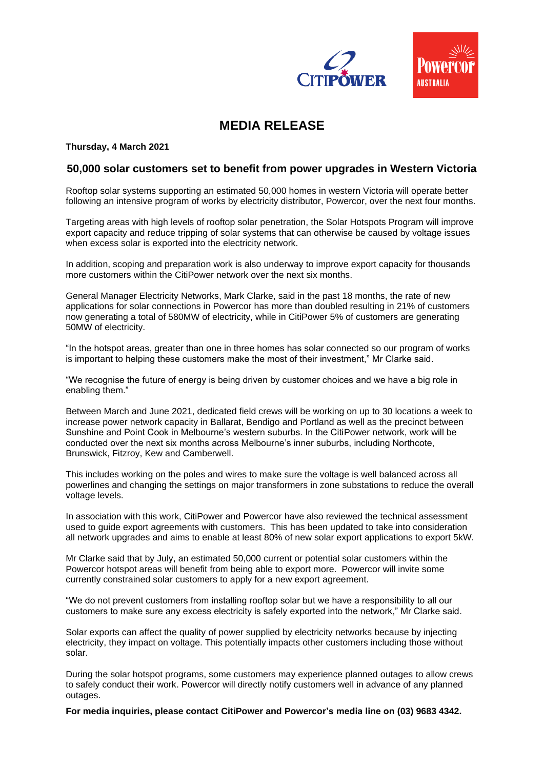

## **MEDIA RELEASE**

**Thursday, 4 March 2021** 

## **50,000 solar customers set to benefit from power upgrades in Western Victoria**

Rooftop solar systems supporting an estimated 50,000 homes in western Victoria will operate better following an intensive program of works by electricity distributor, Powercor, over the next four months.

Targeting areas with high levels of rooftop solar penetration, the Solar Hotspots Program will improve export capacity and reduce tripping of solar systems that can otherwise be caused by voltage issues when excess solar is exported into the electricity network.

In addition, scoping and preparation work is also underway to improve export capacity for thousands more customers within the CitiPower network over the next six months.

General Manager Electricity Networks, Mark Clarke, said in the past 18 months, the rate of new applications for solar connections in Powercor has more than doubled resulting in 21% of customers now generating a total of 580MW of electricity, while in CitiPower 5% of customers are generating 50MW of electricity.

"In the hotspot areas, greater than one in three homes has solar connected so our program of works is important to helping these customers make the most of their investment," Mr Clarke said.

"We recognise the future of energy is being driven by customer choices and we have a big role in enabling them."

Between March and June 2021, dedicated field crews will be working on up to 30 locations a week to increase power network capacity in Ballarat, Bendigo and Portland as well as the precinct between Sunshine and Point Cook in Melbourne's western suburbs. In the CitiPower network, work will be conducted over the next six months across Melbourne's inner suburbs, including Northcote, Brunswick, Fitzroy, Kew and Camberwell.

This includes working on the poles and wires to make sure the voltage is well balanced across all powerlines and changing the settings on major transformers in zone substations to reduce the overall voltage levels.

In association with this work, CitiPower and Powercor have also reviewed the technical assessment used to guide export agreements with customers. This has been updated to take into consideration all network upgrades and aims to enable at least 80% of new solar export applications to export 5kW.

Mr Clarke said that by July, an estimated 50,000 current or potential solar customers within the Powercor hotspot areas will benefit from being able to export more. Powercor will invite some currently constrained solar customers to apply for a new export agreement.

"We do not prevent customers from installing rooftop solar but we have a responsibility to all our customers to make sure any excess electricity is safely exported into the network," Mr Clarke said.

Solar exports can affect the quality of power supplied by electricity networks because by injecting electricity, they impact on voltage. This potentially impacts other customers including those without solar.

During the solar hotspot programs, some customers may experience planned outages to allow crews to safely conduct their work. Powercor will directly notify customers well in advance of any planned outages.

**For media inquiries, please contact CitiPower and Powercor's media line on (03) 9683 4342.**